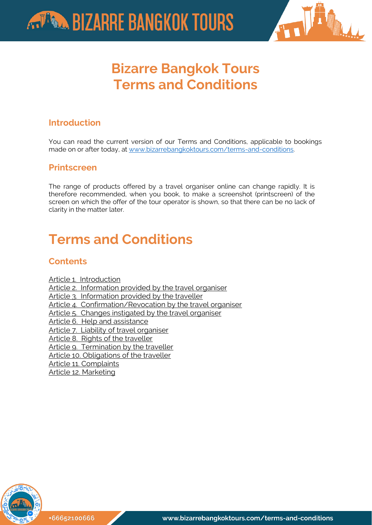



# **Bizarre Bangkok Tours Terms and Conditions**

#### **Introduction**

You can read the current version of our Terms and Conditions, applicable to bookings made on or after today, at www.bizarrebangkoktours.com/terms-and-conditions.

#### **Printscreen**

The range of products offered by a travel organiser online can change rapidly. It is therefore recommended, when you book, to make a screenshot (printscreen) of the screen on which the offer of the tour operator is shown, so that there can be no lack of clarity in the matter later.

# **Terms and Conditions**

#### **Contents**

[Article 1. Introduction](#page-0-0) [Article 2. Information provided by the travel organiser](#page-1-0) [Article 3. Information provided by the traveller](#page-2-0) [Article 4. Confirmation/Revocation by the travel organiser](#page-2-1) [Article 5. Changes instigated by the travel organiser](#page-3-0) [Article 6. Help and assistance](#page-4-0) [Article 7. Liability of travel organiser](#page-5-0) [Article 8. Rights of the traveller](#page-5-1) [Article 9. Termination by the traveller](#page-6-0) [Article 10. Obligations of the traveller](#page-6-1) [Article 11. Complaints](#page-7-0) [Article 12. Marketing](#page-8-0)

<span id="page-0-0"></span>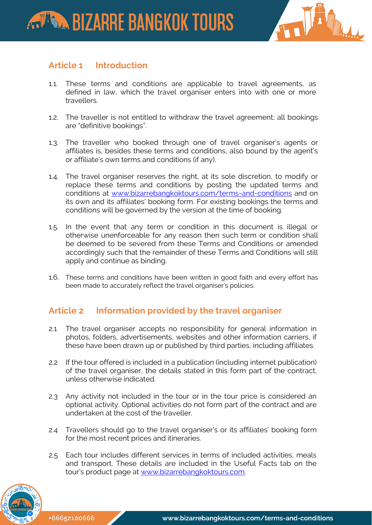

#### **Article 1 Introduction**

- 1.1. These terms and conditions are applicable to travel agreements, as defined in law, which the travel organiser enters into with one or more travellers.
- 1.2. The traveller is not entitled to withdraw the travel agreement; all bookings are "definitive bookings".
- 1.3. The traveller who booked through one of travel organiser's agents or affiliates is, besides these terms and conditions, also bound by the agent's or affiliate's own terms and conditions (if any).
- 1.4. The travel organiser reserves the right, at its sole discretion, to modify or replace these terms and conditions by posting the updated terms and conditions at [www.bizarrebangkoktours.com/terms-and-conditions](http://www.bizarrebangkoktours.com/terms-and-conditions) and on its own and its affiliates' booking form. For existing bookings the terms and conditions will be governed by the version at the time of booking.
- 1.5. In the event that any term or condition in this document is illegal or otherwise unenforceable for any reason then such term or condition shall be deemed to be severed from these Terms and Conditions or amended accordingly such that the remainder of these Terms and Conditions will still apply and continue as binding.
- 1.6. These terms and conditions have been written in good faith and every effort has been made to accurately reflect the travel organiser's policies.

#### <span id="page-1-0"></span>**Article 2 Information provided by the travel organiser**

- 2.1 The travel organiser accepts no responsibility for general information in photos, folders, advertisements, websites and other information carriers, if these have been drawn up or published by third parties, including affiliates.
- 2.2 If the tour offered is included in a publication (including internet publication) of the travel organiser, the details stated in this form part of the contract, unless otherwise indicated.
- 2.3 Any activity not included in the tour or in the tour price is considered an optional activity. Optional activities do not form part of the contract and are undertaken at the cost of the traveller.
- 2.4 Travellers should go to the travel organiser's or its affiliates' booking form for the most recent prices and itineraries.
- 2.5 Each tour includes different services in terms of included activities, meals and transport. These details are included in the Useful Facts tab on the tour's product page at [www.bizarrebangkoktours.com.](http://www.bizarrebangkoktours.com/)

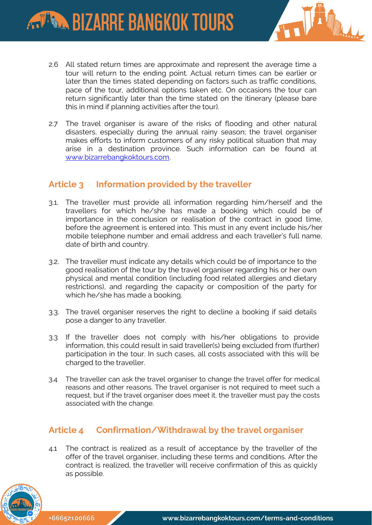

- 2.6 All stated return times are approximate and represent the average time a tour will return to the ending point. Actual return times can be earlier or later than the times stated depending on factors such as traffic conditions, pace of the tour, additional options taken etc. On occasions the tour can return significantly later than the time stated on the itinerary (please bare this in mind if planning activities after the tour).
- 2.7 The travel organiser is aware of the risks of flooding and other natural disasters, especially during the annual rainy season; the travel organiser makes efforts to inform customers of any risky political situation that may arise in a destination province. Such information can be found at [www.bizarrebangkoktours.com.](http://www.bizarrebangkoktours.com/)

#### <span id="page-2-0"></span>**Article 3 Information provided by the traveller**

- 3.1. The traveller must provide all information regarding him/herself and the travellers for which he/she has made a booking which could be of importance in the conclusion or realisation of the contract in good time, before the agreement is entered into. This must in any event include his/her mobile telephone number and email address and each traveller's full name, date of birth and country.
- 3.2. The traveller must indicate any details which could be of importance to the good realisation of the tour by the travel organiser regarding his or her own physical and mental condition (including food related allergies and dietary restrictions), and regarding the capacity or composition of the party for which he/she has made a booking.
- 3.3. The travel organiser reserves the right to decline a booking if said details pose a danger to any traveller.
- 3.3 If the traveller does not comply with his/her obligations to provide information, this could result in said traveller(s) being excluded from (further) participation in the tour. In such cases, all costs associated with this will be charged to the traveller.
- 3.4 The traveller can ask the travel organiser to change the travel offer for medical reasons and other reasons. The travel organiser is not required to meet such a request, but if the travel organiser does meet it, the traveller must pay the costs associated with the change.

## <span id="page-2-1"></span>**Article 4 Confirmation/Withdrawal by the travel organiser**

4.1 The contract is realized as a result of acceptance by the traveller of the offer of the travel organiser, including these terms and conditions. After the contract is realized, the traveller will receive confirmation of this as quickly as possible.

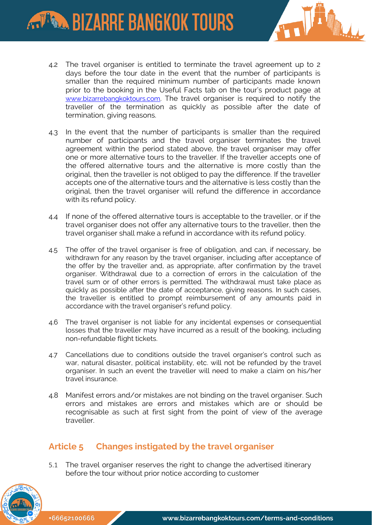# **ARTISTAL BIZARRE BANGKOK TOURS**



- 4.2 The travel organiser is entitled to terminate the travel agreement up to 2 days before the tour date in the event that the number of participants is smaller than the required minimum number of participants made known prior to the booking in the Useful Facts tab on the tour's product page at [www.bizarrebangkoktours.com](http://www.bizarrebangkoktours.com/). The travel organiser is required to notify the traveller of the termination as quickly as possible after the date of termination, giving reasons.
- 4.3 In the event that the number of participants is smaller than the required number of participants and the travel organiser terminates the travel agreement within the period stated above, the travel organiser may offer one or more alternative tours to the traveller. If the traveller accepts one of the offered alternative tours and the alternative is more costly than the original, then the traveller is not obliged to pay the difference. If the traveller accepts one of the alternative tours and the alternative is less costly than the original, then the travel organiser will refund the difference in accordance with its refund policy.
- 4.4 If none of the offered alternative tours is acceptable to the traveller, or if the travel organiser does not offer any alternative tours to the traveller, then the travel organiser shall make a refund in accordance with its refund policy.
- 4.5 The offer of the travel organiser is free of obligation, and can, if necessary, be withdrawn for any reason by the travel organiser, including after acceptance of the offer by the traveller and, as appropriate, after confirmation by the travel organiser. Withdrawal due to a correction of errors in the calculation of the travel sum or of other errors is permitted. The withdrawal must take place as quickly as possible after the date of acceptance, giving reasons. In such cases, the traveller is entitled to prompt reimbursement of any amounts paid in accordance with the travel organiser's refund policy.
- 4.6 The travel organiser is not liable for any incidental expenses or consequential losses that the traveller may have incurred as a result of the booking, including non-refundable flight tickets.
- 4.7 Cancellations due to conditions outside the travel organiser's control such as war, natural disaster, political instability, etc. will not be refunded by the travel organiser. In such an event the traveller will need to make a claim on his/her travel insurance.
- 4.8 Manifest errors and/or mistakes are not binding on the travel organiser. Such errors and mistakes are errors and mistakes which are or should be recognisable as such at first sight from the point of view of the average traveller.

#### <span id="page-3-0"></span>**Article 5 Changes instigated by the travel organiser**

5.1 The travel organiser reserves the right to change the advertised itinerary before the tour without prior notice according to customer

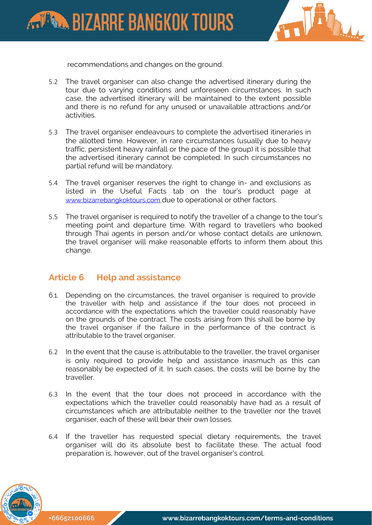**ARTISTING BIZARRE BANGKOK TOURS** 



recommendations and changes on the ground.

- 5.2 The travel organiser can also change the advertised itinerary during the tour due to varying conditions and unforeseen circumstances. In such case, the advertised itinerary will be maintained to the extent possible and there is no refund for any unused or unavailable attractions and/or activities.
- 5.3 The travel organiser endeavours to complete the advertised itineraries in the allotted time. However, in rare circumstances (usually due to heavy traffic, persistent heavy rainfall or the pace of the group) it is possible that the advertised itinerary cannot be completed. In such circumstances no partial refund will be mandatory.
- 5.4 The travel organiser reserves the right to change in- and exclusions as listed in the Useful Facts tab on the tour's product page at [www.bizarrebangkoktours.com](http://www.bizarrebangkoktours.com/) due to operational or other factors.
- 5.5 The travel organiser is required to notify the traveller of a change to the tour's meeting point and departure time. With regard to travellers who booked through Thai agents in person and/or whose contact details are unknown, the travel organiser will make reasonable efforts to inform them about this change.

#### <span id="page-4-0"></span>**Article 6 Help and assistance**

- 6.1. Depending on the circumstances, the travel organiser is required to provide the traveller with help and assistance if the tour does not proceed in accordance with the expectations which the traveller could reasonably have on the grounds of the contract. The costs arising from this shall be borne by the travel organiser if the failure in the performance of the contract is attributable to the travel organiser.
- 6.2 In the event that the cause is attributable to the traveller, the travel organiser is only required to provide help and assistance inasmuch as this can reasonably be expected of it. In such cases, the costs will be borne by the traveller.
- 6.3 In the event that the tour does not proceed in accordance with the expectations which the traveller could reasonably have had as a result of circumstances which are attributable neither to the traveller nor the travel organiser, each of these will bear their own losses.
- 6.4 If the traveller has requested special dietary requirements, the travel organiser will do its absolute best to facilitate these. The actual food preparation is, however, out of the travel organiser's control.

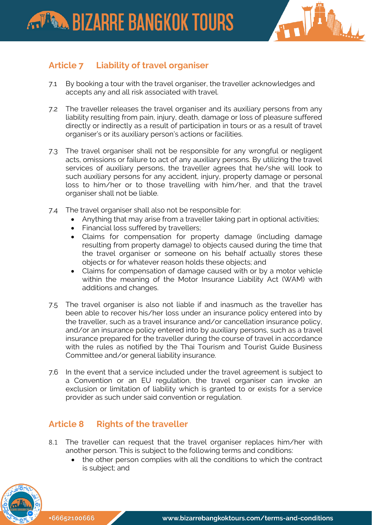

## <span id="page-5-0"></span>**Article 7 Liability of travel organiser**

- 7.1 By booking a tour with the travel organiser, the traveller acknowledges and accepts any and all risk associated with travel.
- 7.2 The traveller releases the travel organiser and its auxiliary persons from any liability resulting from pain, injury, death, damage or loss of pleasure suffered directly or indirectly as a result of participation in tours or as a result of travel organiser's or its auxiliary person's actions or facilities.
- 7.3 The travel organiser shall not be responsible for any wrongful or negligent acts, omissions or failure to act of any auxiliary persons. By utilizing the travel services of auxiliary persons, the traveller agrees that he/she will look to such auxiliary persons for any accident, injury, property damage or personal loss to him/her or to those travelling with him/her, and that the travel organiser shall not be liable.
- 7.4 The travel organiser shall also not be responsible for:
	- Anything that may arise from a traveller taking part in optional activities;
	- Financial loss suffered by travellers;
	- Claims for compensation for property damage (including damage resulting from property damage) to objects caused during the time that the travel organiser or someone on his behalf actually stores these objects or for whatever reason holds these objects; and
	- Claims for compensation of damage caused with or by a motor vehicle within the meaning of the Motor Insurance Liability Act (WAM) with additions and changes.
- 7.5 The travel organiser is also not liable if and inasmuch as the traveller has been able to recover his/her loss under an insurance policy entered into by the traveller, such as a travel insurance and/or cancellation insurance policy, and/or an insurance policy entered into by auxiliary persons, such as a travel insurance prepared for the traveller during the course of travel in accordance with the rules as notified by the Thai Tourism and Tourist Guide Business Committee and/or general liability insurance.
- 7.6 In the event that a service included under the travel agreement is subject to a Convention or an EU regulation, the travel organiser can invoke an exclusion or limitation of liability which is granted to or exists for a service provider as such under said convention or regulation.

## <span id="page-5-1"></span>**Article 8 Rights of the traveller**

- 8.1 The traveller can request that the travel organiser replaces him/her with another person. This is subject to the following terms and conditions:
	- the other person complies with all the conditions to which the contract is subject; and

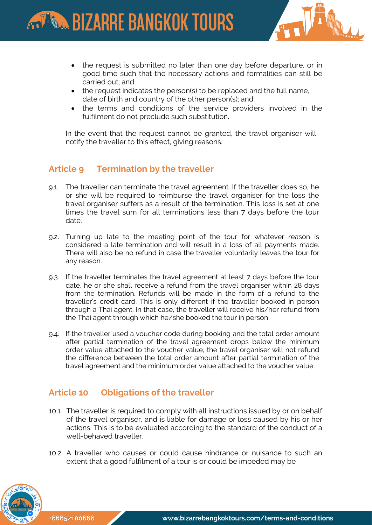

- the request is submitted no later than one day before departure, or in good time such that the necessary actions and formalities can still be carried out; and
- the request indicates the person(s) to be replaced and the full name, date of birth and country of the other person(s); and
- the terms and conditions of the service providers involved in the fulfilment do not preclude such substitution.

In the event that the request cannot be granted, the travel organiser will notify the traveller to this effect, giving reasons.

#### <span id="page-6-0"></span>**Article 9 Termination by the traveller**

- 9.1. The traveller can terminate the travel agreement. If the traveller does so, he or she will be required to reimburse the travel organiser for the loss the travel organiser suffers as a result of the termination. This loss is set at one times the travel sum for all terminations less than 7 days before the tour date.
- 9.2. Turning up late to the meeting point of the tour for whatever reason is considered a late termination and will result in a loss of all payments made. There will also be no refund in case the traveller voluntarily leaves the tour for any reason.
- 9.3. If the traveller terminates the travel agreement at least 7 days before the tour date, he or she shall receive a refund from the travel organiser within 28 days from the termination. Refunds will be made in the form of a refund to the traveller's credit card. This is only different if the traveller booked in person through a Thai agent. In that case, the traveller will receive his/her refund from the Thai agent through which he/she booked the tour in person.
- 9.4. If the traveller used a voucher code during booking and the total order amount after partial termination of the travel agreement drops below the minimum order value attached to the voucher value, the travel organiser will not refund the difference between the total order amount after partial termination of the travel agreement and the minimum order value attached to the voucher value.

#### <span id="page-6-1"></span>**Article 10 Obligations of the traveller**

- 10.1. The traveller is required to comply with all instructions issued by or on behalf of the travel organiser, and is liable for damage or loss caused by his or her actions. This is to be evaluated according to the standard of the conduct of a well-behaved traveller.
- 10.2. A traveller who causes or could cause hindrance or nuisance to such an extent that a good fulfilment of a tour is or could be impeded may be

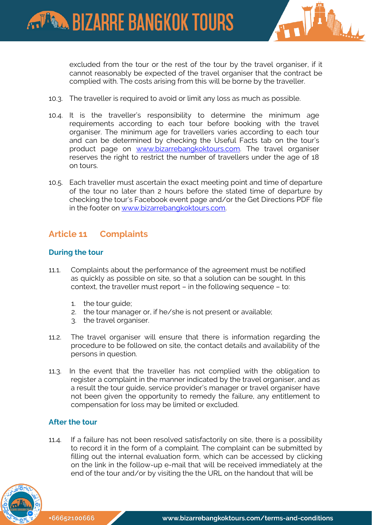



excluded from the tour or the rest of the tour by the travel organiser, if it cannot reasonably be expected of the travel organiser that the contract be complied with. The costs arising from this will be borne by the traveller.

- 10.3. The traveller is required to avoid or limit any loss as much as possible.
- 10.4. It is the traveller's responsibility to determine the minimum age requirements according to each tour before booking with the travel organiser. The minimum age for travellers varies according to each tour and can be determined by checking the Useful Facts tab on the tour's product page on [www.bizarrebangkoktours.com.](http://www.bizarrebangkoktours.com/) The travel organiser reserves the right to restrict the number of travellers under the age of 18 on tours.
- 10.5. Each traveller must ascertain the exact meeting point and time of departure of the tour no later than 2 hours before the stated time of departure by checking the tour's Facebook event page and/or the Get Directions PDF file in the footer on [www.bizarrebangkoktours.com.](http://www.bizarrebangkoktours.com/)

#### <span id="page-7-0"></span>**Article 11 Complaints**

#### **During the tour**

- 11.1. Complaints about the performance of the agreement must be notified as quickly as possible on site, so that a solution can be sought. In this context, the traveller must report – in the following sequence – to:
	- 1. the tour guide;
	- 2. the tour manager or, if he/she is not present or available;
	- 3. the travel organiser.
- 11.2. The travel organiser will ensure that there is information regarding the procedure to be followed on site, the contact details and availability of the persons in question.
- 11.3. In the event that the traveller has not complied with the obligation to register a complaint in the manner indicated by the travel organiser, and as a result the tour guide, service provider's manager or travel organiser have not been given the opportunity to remedy the failure, any entitlement to compensation for loss may be limited or excluded.

#### **After the tour**

11.4. If a failure has not been resolved satisfactorily on site, there is a possibility to record it in the form of a complaint. The complaint can be submitted by filling out the internal evaluation form, which can be accessed by clicking on the link in the follow-up e-mail that will be received immediately at the end of the tour and/or by visiting the the URL on the handout that will be